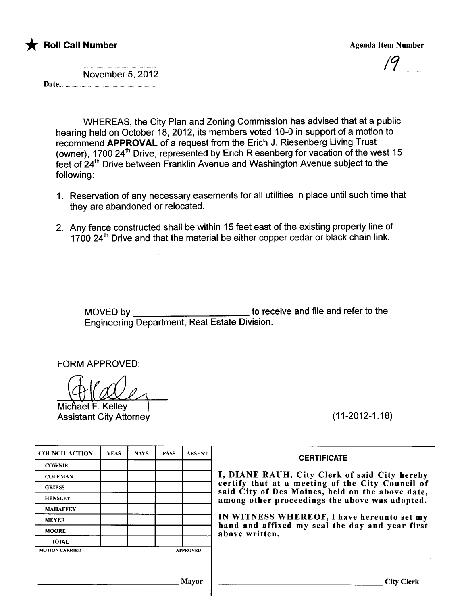

#### \* **Foll Call Number** Agenda Item Number Agenda Item Number

November 5, 2012

Date..H 

> WHEREAS, the City Plan and Zoning Commission has advised that at a public hearing held on October 18, 2012, its members voted 10-0 in support of a motion to recommend APPROVAL of a request from the Erich J. Riesenberg Living Trust (owner), 1700 24th Drive, represented by Erich Riesenberg for vacation of feet of 24th Drive between Franklin Avenue and Washington Avenue subject to the (owner), 1700 24<sup>th</sup> Drive, represented by Erich Riesenberg for vacation of the west 15 following:

- 1. Reservation of any necessary easements for all utilities in place until such time that they are abandoned or relocated.
- 2. Any fence constructed shall be within 15 feet east of the existing property line of 1700 24 $^{\rm{m}}$  Drive and that the material be either copper cedar or black chain link.

MOVED by to receive and file and refer to the Engineering Department, Real Estate Division.

FORM APPROVED:

Michael F. Kelley Assistant City Attorney (11-2012-1.18)

| <b>COUNCILACTION</b>  | <b>YEAS</b> | <b>NAYS</b> | <b>PASS</b> | <b>ABSENT</b>   | <b>CERTIFICATE</b>                                                                                   |
|-----------------------|-------------|-------------|-------------|-----------------|------------------------------------------------------------------------------------------------------|
| <b>COWNIE</b>         |             |             |             |                 |                                                                                                      |
| <b>COLEMAN</b>        |             |             |             |                 | I, DIANE RAUH, City Clerk of said City hereby                                                        |
| <b>GRIESS</b>         |             |             |             |                 | certify that at a meeting of the City Council of<br>said City of Des Moines, held on the above date, |
| <b>HENSLEY</b>        |             |             |             |                 | among other proceedings the above was adopted.                                                       |
| <b>MAHAFFEY</b>       |             |             |             |                 |                                                                                                      |
| <b>MEYER</b>          |             |             |             |                 | IN WITNESS WHEREOF, I have hereunto set my                                                           |
| <b>MOORE</b>          |             |             |             |                 | hand and affixed my seal the day and year first<br>above written.                                    |
| <b>TOTAL</b>          |             |             |             |                 |                                                                                                      |
| <b>MOTION CARRIED</b> |             |             |             | <b>APPROVED</b> |                                                                                                      |

| <b>CERTIFICATE</b>                                                                                                                                                                                      |
|---------------------------------------------------------------------------------------------------------------------------------------------------------------------------------------------------------|
| I, DIANE RAUH, City Clerk of said City hereby<br>certify that at a meeting of the City Council of<br>said City of Des Moines, held on the above date,<br>among other proceedings the above was adopted. |
| IN WITNESS WHEREOF, I have hereunto set my<br>hand and affixed my seal the day and year first<br>above written.                                                                                         |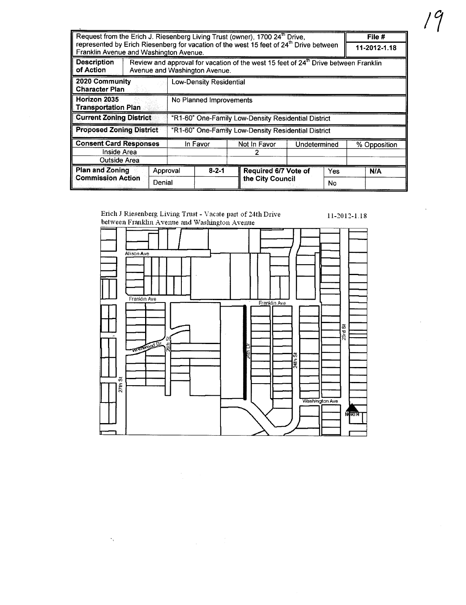| Request from the Erich J. Riesenberg Living Trust (owner), 1700 24 <sup>th</sup> Drive,<br>represented by Erich Riesenberg for vacation of the west 15 feet of 24 <sup>th</sup> Drive between |                                        |                                                     |                                                                                                                                  |  |                      | File #       |  |              |  |
|-----------------------------------------------------------------------------------------------------------------------------------------------------------------------------------------------|----------------------------------------|-----------------------------------------------------|----------------------------------------------------------------------------------------------------------------------------------|--|----------------------|--------------|--|--------------|--|
|                                                                                                                                                                                               |                                        |                                                     |                                                                                                                                  |  |                      |              |  | 11-2012-1.18 |  |
|                                                                                                                                                                                               | Franklin Avenue and Washington Avenue. |                                                     |                                                                                                                                  |  |                      |              |  |              |  |
| <b>Description</b><br>of Action                                                                                                                                                               |                                        |                                                     | Review and approval for vacation of the west 15 feet of 24 <sup>th</sup> Drive between Franklin<br>Avenue and Washington Avenue. |  |                      |              |  |              |  |
| 2020 Community<br><b>Character Plan</b>                                                                                                                                                       | <b>Low-Density Residential</b>         |                                                     |                                                                                                                                  |  |                      |              |  |              |  |
| Horizon 2035<br><b>Transportation Plan</b>                                                                                                                                                    |                                        | No Planned Improvements                             |                                                                                                                                  |  |                      |              |  |              |  |
| <b>Current Zoning District</b>                                                                                                                                                                |                                        | "R1-60" One-Family Low-Density Residential District |                                                                                                                                  |  |                      |              |  |              |  |
| <b>Proposed Zoning District</b>                                                                                                                                                               |                                        | "R1-60" One-Family Low-Density Residential District |                                                                                                                                  |  |                      |              |  |              |  |
| <b>Consent Card Responses</b>                                                                                                                                                                 |                                        | In Favor                                            |                                                                                                                                  |  | Not In Favor         | Undetermined |  | % Opposition |  |
| Inside Area                                                                                                                                                                                   |                                        |                                                     |                                                                                                                                  |  |                      |              |  |              |  |
| Outside Area                                                                                                                                                                                  |                                        |                                                     |                                                                                                                                  |  |                      |              |  |              |  |
| <b>Plan and Zoning</b><br>Approval<br><b>Commission Action</b><br>Denial                                                                                                                      |                                        | $8 - 2 - 1$                                         |                                                                                                                                  |  | Required 6/7 Vote of | Yes          |  | N/A          |  |
|                                                                                                                                                                                               |                                        |                                                     |                                                                                                                                  |  | the City Council     | No           |  |              |  |

# Erich J Riesenberg Living Trust - Vacate part of 24th Drive<br>between Franklin Avenue and Washington Avenue

 $\langle \cdot \rangle_{\rm v}$ 

 $11-2012-1.18$ 



 $19$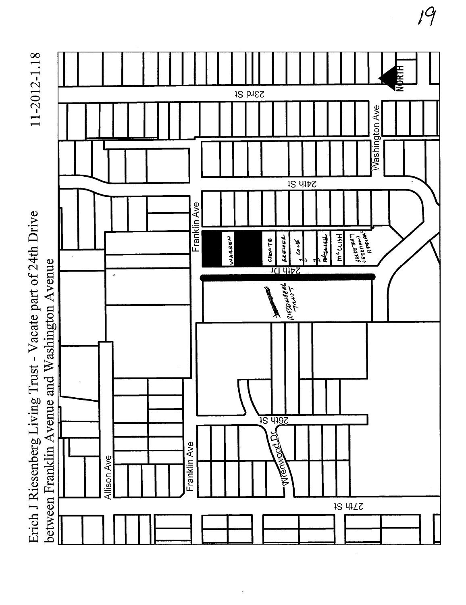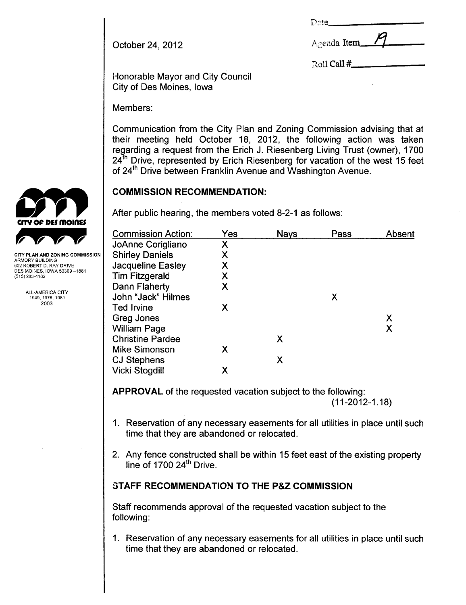| Date. |  |
|-------|--|
|       |  |

| October 24, 2012 |  |  |  |
|------------------|--|--|--|
|------------------|--|--|--|

| Agenda Item |  |  |  |  |
|-------------|--|--|--|--|
|-------------|--|--|--|--|

Roll Call #

Honorable Mayor and City Council City of Des Moines, Iowa

Members:

Communication from the City Plan and Zoning Commission advising that at their meeting held October 18, 2012, the following action was taken regarding a request from the Erich J. Riesenberg Living Trust (owner), 1700  $24<sup>th</sup>$  Drive, represented by Erich Riesenberg for vacation of the west 15 feet of 24th Drive between Franklin Avenue and Washington Avenue.

After public hearing, the members voted 8-2-1 as follows:

|                                               | <b>Commission Action:</b> | Yes | <b>Nays</b> | Pass | Absent |
|-----------------------------------------------|---------------------------|-----|-------------|------|--------|
|                                               | JoAnne Corigliano         | Х   |             |      |        |
| <b>CITY PLAN AND ZONING COMMISSION</b>        | <b>Shirley Daniels</b>    |     |             |      |        |
| ARMORY BUILDING<br>602 ROBERT D. RAY DRIVE    | Jacqueline Easley         |     |             |      |        |
| DES MOINES, IOWA 50309-1881<br>(515) 283-4182 | <b>Tim Fitzgerald</b>     |     |             |      |        |
|                                               | Dann Flaherty             | Х   |             |      |        |
| <b>ALL-AMERICA CITY</b><br>1949, 1976, 1981   | John "Jack" Hilmes        |     |             | X    |        |
| 2003                                          | <b>Ted Irvine</b>         | Х   |             |      |        |
|                                               | Greg Jones                |     |             |      | Χ      |
|                                               | <b>William Page</b>       |     |             |      | Χ      |
|                                               | <b>Christine Pardee</b>   |     | Χ           |      |        |
|                                               | <b>Mike Simonson</b>      | Χ   |             |      |        |
|                                               | <b>CJ Stephens</b>        |     | Х           |      |        |
|                                               | <b>Vicki Stogdill</b>     |     |             |      |        |
|                                               |                           |     |             |      |        |

APPROVAL of the requested vacation subject to the following:

(11-2012-1.18)

- 1. Reservation of any necessary easements for all utilities in place until such time that they are abandoned or relocated.
- 2. Any fence constructed shall be within 15 feet east of the existing property line of  $1700 24<sup>th</sup>$  Drive.

### STAFF RECOMMENDATION TO THE P&Z COMMISSION

Staff recommends approval of the requested vacation subject to the following:

1. Reservation of any necessary easements for all utilities in place until such time that they are abandoned or relocated.

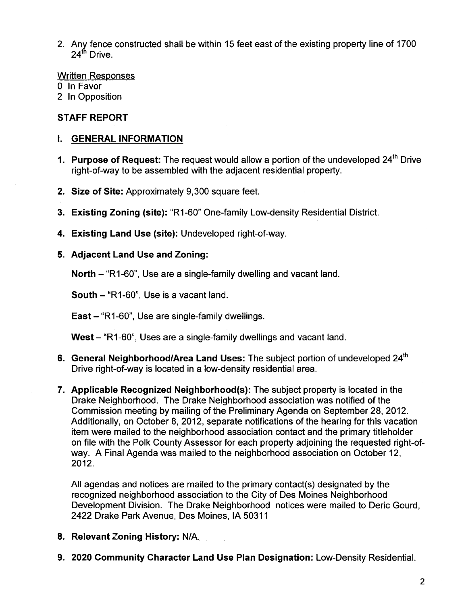2. Any fence constructed shall be within 15 feet east of the existing property line of 1700  $24^{\text{th}}$  Drive.

Written Responses

- o In Favor
- 2 In Opposition

#### STAFF REPORT

#### i. GENERAL INFORMATION

- 1. Purpose of Request: The request would allow a portion of the undeveloped 24<sup>th</sup> Drive right-of-way to be assembled with the adjacent residential property.
- 2. Size of Site: Approximately 9,300 square feet.
- 3. Existing Zoning (site): "R1-60" One-family Low-density Residential District.
- 4. Existing Land Use (site): Undeveloped right-of-way.

#### 5. Adjacent Land Use and Zoning:

North – "R1-60", Use are a single-family dwelling and vacant land.

South  $-$  "R1-60", Use is a vacant land.

East - "R1-60", Use are single-family dwellings.

West - "R1-60", Uses are a single-family dwellings and vacant land.

- 6. General Neighborhood/Area Land Uses: The subject portion of undeveloped 24<sup>th</sup> Drive right-of-way is located in a low-density residential area.
- 7. Applicable Recognized Neighborhood(s): The subject property is located in the Drake Neighborhood. The Drake Neighborhood association was notified of the Commission meeting by mailing of the Preliminary Agenda on September 28, 2012. Additionally, on October 8, 2012, separate notifications of the hearing for this vacation item were mailed to the neighborhood association contact and the primary titleholder on file with the Polk County Assessor for each property adjoining the requested right-ofway. A Final Agenda was mailed to the neighborhood association on October 12, 2012.

All agendas and notices are mailed to the primary contact(s) designated by the recognized neighborhood association to the City of Des Moines Neighborhood Development Division. The Drake Neighborhood notices were mailed to Deric Gourd, 2422 Drake Park Avenue, Des Moines, IA 50311

- 8. Relevant Zoning History: N/A.
- 9. 2020 Community Character Land Use Plan Designation: Low-Density ResidentiaL.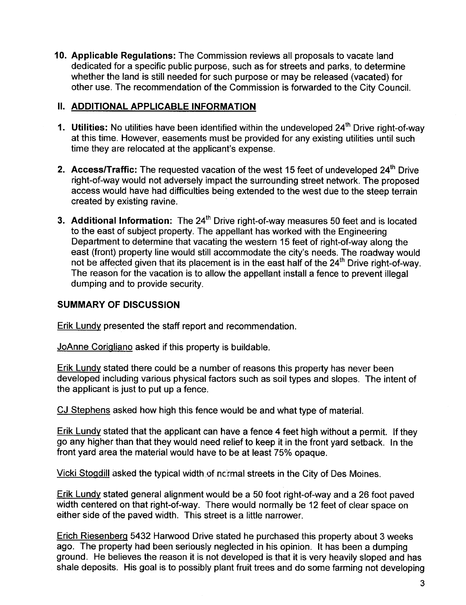10. Applicable Regulations: The Commission reviews all proposals to vacate land dedicated for a specific public purpose, such as for streets and parks, to determine whether the land is still needed for such purpose or may be released (vacated) for other use. The recommendation of the Commission is forwarded to the City CounciL.

#### 11. ADDITIONAL APPLICABLE INFORMATION

- 1. Utilities: No utilities have been identified within the undeveloped 24<sup>th</sup> Drive right-of-way at this time. However, easements must be provided for any existing utilities until such time they are relocated at the applicant's expense.
- 2. Access/Traffic: The requested vacation of the west 15 feet of undeveloped  $24<sup>th</sup>$  Drive right-of-way would not adversely impact the surrounding street network. The proposed access would have had difficulties being extended to the west due to the steep terrain created by existing ravine.
- 3. Additional Information: The  $24<sup>th</sup>$  Drive right-of-way measures 50 feet and is located to the east of subject property. The appellant has worked with the Engineering Department to determine that vacating the western 15 feet of right-of-way along the east (front) property line would still accommodate the city's needs. The roadway would not be affected given that its placement is in the east half of the 24<sup>th</sup> Drive right-of-way. The reason for the vacation is to allow the appellant install a fence to prevent ilegal dumping and to provide security.

#### SUMMARY OF DISCUSSION

Erik Lundy presented the staff report and recommendation.

JoAnne CoriQliano asked if this property is buildable.

Erik Lundy stated there could be a number of reasons this property has never been developed including various physical factors such as soil types and slopes. The intent of the applicant is just to put up a fence.

CJ Stephens asked how high this fence would be and what type of materiaL.

Erik Lundy stated that the applicant can have a fence 4 feet high without a permit. If they go any higher than that they would need relief to keep it in the front yard setback. In the front yard area the material would have to be at least 75% opaque.

Vicki Stogdill asked the typical width of nc:rmal streets in the City of Des Moines.

Erik Lundy stated general alignment would be a 50 foot right-of-way and a 26 foot paved width centered on that right-of-way. There would normally be 12 feet of clear space on either side of the paved width. This street is a little narrower.

Erich RiesenberQ 5432 Harwood Drive stated he purchased this property about 3 weeks ago. The property had been seriously neglected in his opinion. It has been a dumping ground. He believes the reason it is not developed is that it is very heavily sloped and has shale deposits. His goal is to possibly plant fruit trees and do some farming not developing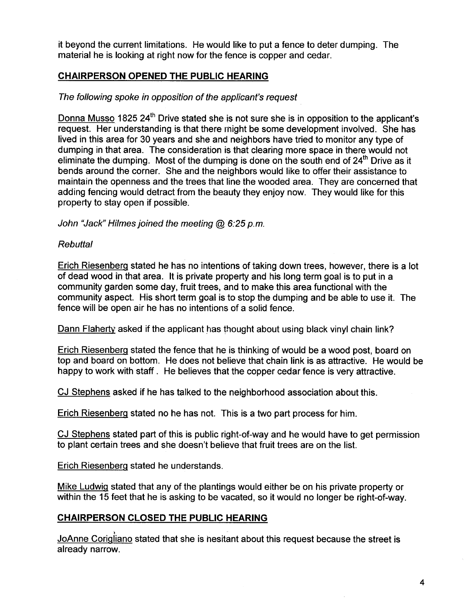it beyond the current limitations. He would like to put a fence to deter dumping. The material he is looking at right now for the fence is copper and cedar.

#### CHAIRPERSON OPENED THE PUBLIC HEARING

#### The following spoke in opposition of the applicant's request

Donna Musso 1825 24<sup>th</sup> Drive stated she is not sure she is in opposition to the applicant's request. Her understanding is that there might be some development involved. She has lived in this area for 30 years and she and neighbors have tried to monitor any type of dumping in that area. The consideration is that clearing more space in there would not eliminate the dumping. Most of the dumping is done on the south end of  $24<sup>th</sup>$  Drive as it bends around the corner. She and the neighbors would like to offer their assistance to maintain the openness and the trees that line the wooded area. They are concerned that adding fencing would detract from the beauty they enjoy now. They would like for this property to stay open if possible.

John "Jack" Hilmes joined the meeting  $Q_0$  6:25 p.m.

#### **Rebuttal**

Erich RiesenberQ stated he has no intentions of taking down trees, however, there is a lot of dead wood in that area. It is private property and his long term goal is to put in a community garden some day, fruit trees, and to make this area functional with the community aspect. His short term goal is to stop the dumping and be able to use it. The fence will be open air he has no intentions of a solid fence.

Dann Flaherty asked if the applicant has thought about using black vinyl chain link?

Erich RiesenberQ stated the fence that he is thinking of would be a wood post, board on top and board on bottom. He does not believe that chain link is as attractive. He would be happy to work with staff. He believes that the copper cedar fence is very attractive.

CJ Stephens asked if he has talked to the neighborhood association about this.

Erich RiesenberQ stated no he has not. This is a two part process for him.

CJ Stephens stated part of this is public right-of-way and he would have to get permission to plant certain trees and she doesn't believe that fruit trees are on the list.

Erich RiesenberQ stated he understands.

Mike LudwiQ stated that any of the plantings would either be on his private property or within the 15 feet that he is asking to be vacated, so it would no longer be right-of-way.

#### CHAIRPERSON CLOSED THE PUBLIC HEARING

JoAnne Corigliano stated that she is nesitant about this request because the street is already narrow.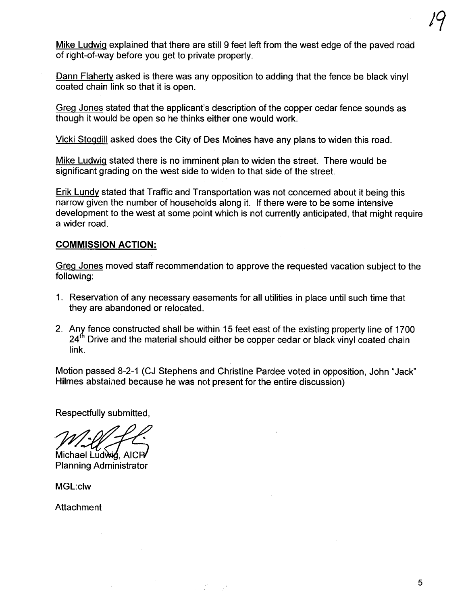Mike Ludwig explained that there are still 9 feet left from the west edge of the paved road of right-of-way before you get to private property.

Dann Flaherty asked is there was any opposition to adding that the fence be black vinyl coated chain link so that it is open.

Greg Jones stated that the applicant's description of the copper cedar fence sounds as though it would be open so he thinks either one would work.

Vicki Stogdill asked does the City of Des Moines have any plans to widen this road.

Mike LudwiQ stated there is no imminent plan to widen the street. There would be significant grading on the west side to widen to that side of the street.

Erik Lundv stated that Traffic and Transportation was not concerned about it being this narrow given the number of households along it. If there were to be some intensive development to the west at some point which is not currently anticipated, that might require a wider road.

#### COMMISSION ACTION:

GreQ Jones moved staff recommendation to approve the requested vacation subject to the following:

- 1. Reservation of any necessary easements for all utilities in place until such time that they are abandoned or relocated.
- 2. Any fence constructed shall be within 15 feet east of the existing property line of 1700  $24<sup>th</sup>$  Drive and the material should either be copper cedar or black vinyl coated chain link.

Motion passed 8-2-1 (CJ Stephens and Christine Pardee voted in opposition, John "Jack" Hilmes abstained because he was not present for the entire discussion)

 $\sim 10^6$ 

Respectfully submitted,

Michael Ludwig, AICP Planning Administrator

MGL:clw

**Attachment**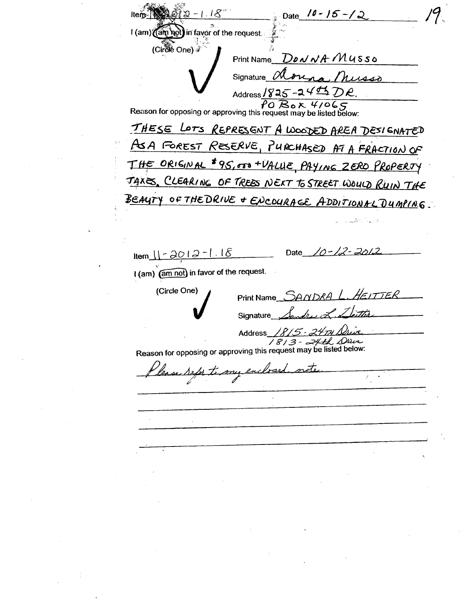Date  $10 - 15 - 2$  $-1.18^{\circ}$ I (am) (am Rot) in favor of the request. (Circle One) Print Name  $D \omega \sqrt{A} M u s s \omega$ Signature alonga Musso Address/825-24 $\sharp$ 5 DR. Reason for opposing or approving this request may be listed below: THESE LOTS REPRESENT A WOODED AREA DESIGNATED ASA FOREST RESERVE, PURCHASED AT A FRACTION OF THE ORIGINAL \$95,000+VALUE, PAYING ZERO PROPERTY TAXES, CLEARING OF TREES NEXT TO STREET WOULD RUIN THE BEAUTY OF THE DRIVE + ENCOURAGE ADDITIONAL DUMPING.  $10 - 12 - 20$  $Item_1 - 2012 - 1.18$ Date I (am) (am not) in favor of the request. (Circle One) Print Name SANDRA L. HEITTER Signature **Address** 15. 1813 - 24th Drive Reason for opposing or approving this request may be listed below: refer to my enclosed.